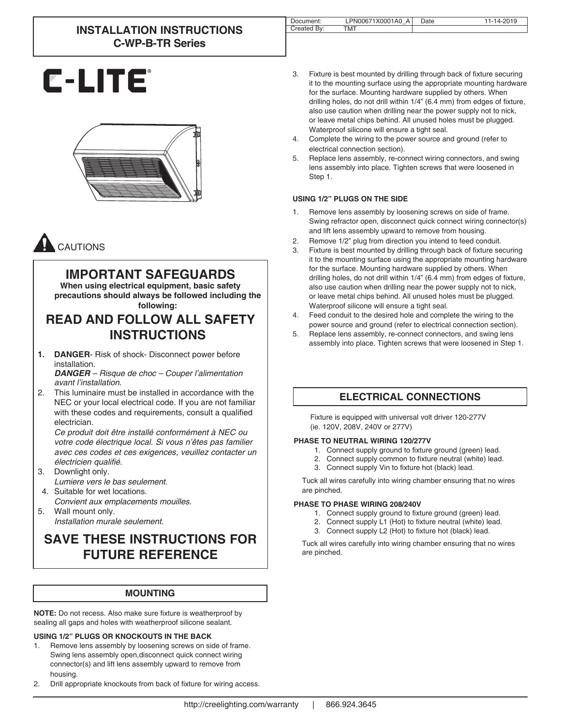# **INSTALLATION INSTRUCTIONS C-WP-B-TR Series**

| Document:   | PN00671X0001A0 A | Date | 14-2019 |
|-------------|------------------|------|---------|
| Created By: | <b>TMT</b>       |      |         |

# **C-LITE**



# CAUTIONS

# **IMPORTANT SAFEGUARDS**

**When using electrical equipment, basic safety precautions should always be followed including the following:**

# **READ AND FOLLOW ALL SAFETY INSTRUCTIONS**

**1. DANGER**- Risk of shock- Disconnect power before installation.

*DANGER – Risque de choc – Couper l'alimentation avant l'installation.*

2. This luminaire must be installed in accordance with the NEC or your local electrical code. If you are not familiar with these codes and requirements, consult a qualified electrician.

*Ce produit doit être installé conformément à NEC ou votre code électrique local. Si vous n'êtes pas familier avec ces codes et ces exigences, veuillez contacter un*  électricien qualifié.

- 3. Downlight only. *Lumiere vers le bas seulement.*
- 4. Suitable for wet locations. *Convient aux emplacements mouilles.*
- 5. Wall mount only. *Installation murale seulement.*

# **SAVE THESE INSTRUCTIONS FOR FUTURE REFERENCE**

## **MOUNTING**

**NOTE:** Do not recess. Also make sure fixture is weatherproof by sealing all gaps and holes with weatherproof silicone sealant.

**USING 1/2" PLUGS OR KNOCKOUTS IN THE BACK**

- Remove lens assembly by loosening screws on side of frame. Swing lens assembly open,disconnect quick connect wiring connector(s) and lift lens assembly upward to remove from housing.
- 2. Drill appropriate knockouts from back of fixture for wiring access.

| 3. | Fixture is best mounted by drilling through back of fixture securing     |
|----|--------------------------------------------------------------------------|
|    | it to the mounting surface using the appropriate mounting hardware       |
|    | for the surface. Mounting hardware supplied by others. When              |
|    | drilling holes, do not drill within 1/4" (6.4 mm) from edges of fixture, |
|    | also use caution when drilling near the power supply not to nick,        |
|    | or leave metal chips behind. All unused holes must be plugged.           |
|    | Waterproof silicone will ensure a tight seal.                            |

- 4. Complete the wiring to the power source and ground (refer to electrical connection section).
- 5. Replace lens assembly, re-connect wiring connectors, and swing lens assembly into place. Tighten screws that were loosened in Step 1.

## **USING 1/2" PLUGS ON THE SIDE**

- 1. Remove lens assembly by loosening screws on side of frame. Swing refractor open, disconnect quick connect wiring connector(s) and lift lens assembly upward to remove from housing.
- 2. Remove 1/2" plug from direction you intend to feed conduit.<br>3. Fixture is best mounted by drilling through back of fixture se
- Fixture is best mounted by drilling through back of fixture securing it to the mounting surface using the appropriate mounting hardware for the surface. Mounting hardware supplied by others. When drilling holes, do not drill within 1/4" (6.4 mm) from edges of fixture, also use caution when drilling near the power supply not to nick, or leave metal chips behind. All unused holes must be plugged. Waterproof silicone will ensure a tight seal.
- 4. Feed conduit to the desired hole and complete the wiring to the power source and ground (refer to electrical connection section).
- 5. Replace lens assembly, re-connect connectors, and swing lens assembly into place. Tighten screws that were loosened in Step 1.

# **ELECTRICAL CONNECTIONS**

Fixture is equipped with universal volt driver 120-277V (ie. 120V, 208V, 240V or 277V)

### **PHASE TO NEUTRAL WIRING 120/277V**

- 1. Connect supply ground to fixture ground (green) lead.
- 2. Connect supply common to fixture neutral (white) lead.
- 3. Connect supply Vin to fixture hot (black) lead.

Tuck all wires carefully into wiring chamber ensuring that no wires are pinched.

### **PHASE TO PHASE WIRING 208/240V**

- 1. Connect supply ground to fixture ground (green) lead.
- 2. Connect supply L1 (Hot) to fixture neutral (white) lead.
- 3. Connect supply L2 (Hot) to fixture hot (black) lead.

Tuck all wires carefully into wiring chamber ensuring that no wires are pinched.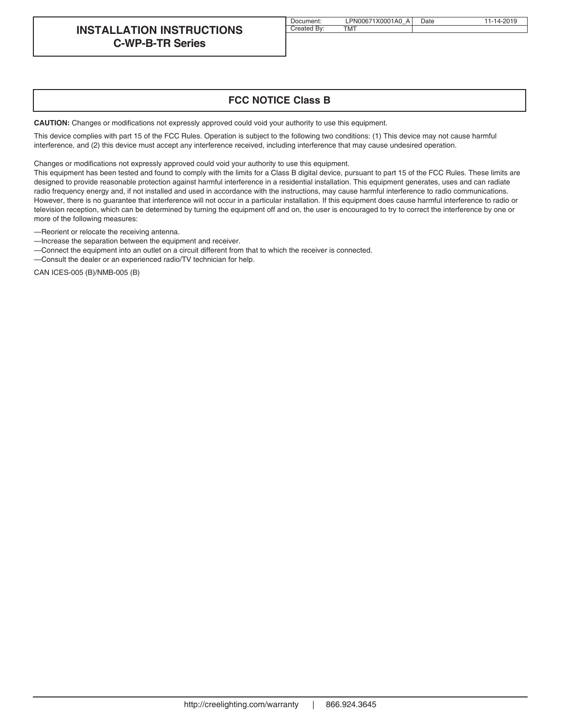## **INSTALLATION INSTRUCTIONS C-WP-B-TR Series**

| Document:   | LPN00671X0001A0 A Date | 11-14-2019 |
|-------------|------------------------|------------|
| Created By: | TMT                    |            |

## **FCC NOTICE Class B**

**CAUTION:** Changes or modifications not expressly approved could void your authority to use this equipment.

This device complies with part 15 of the FCC Rules. Operation is subject to the following two conditions: (1) This device may not cause harmful interference, and (2) this device must accept any interference received, including interference that may cause undesired operation.

Changes or modifications not expressly approved could void your authority to use this equipment.

This equipment has been tested and found to comply with the limits for a Class B digital device, pursuant to part 15 of the FCC Rules. These limits are designed to provide reasonable protection against harmful interference in a residential installation. This equipment generates, uses and can radiate radio frequency energy and, if not installed and used in accordance with the instructions, may cause harmful interference to radio communications. However, there is no guarantee that interference will not occur in a particular installation. If this equipment does cause harmful interference to radio or television reception, which can be determined by turning the equipment off and on, the user is encouraged to try to correct the interference by one or more of the following measures:

—Reorient or relocate the receiving antenna.

—Increase the separation between the equipment and receiver.

—Connect the equipment into an outlet on a circuit different from that to which the receiver is connected.

—Consult the dealer or an experienced radio/TV technician for help.

CAN ICES-005 (B)/NMB-005 (B)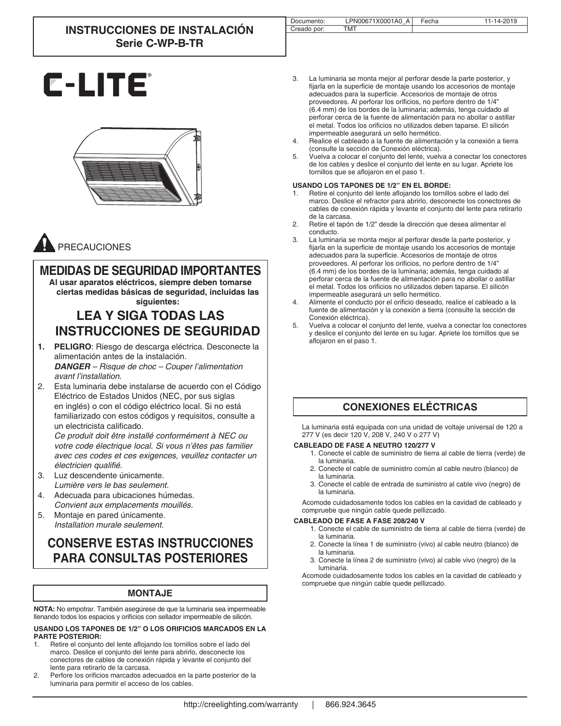# **INSTRUCCIONES DE INSTALACIÓN Serie C-WP-B-TR**

| тмт<br>Creado por: | 11-14-2019 |
|--------------------|------------|
|                    |            |

3. La luminaria se monta mejor al perforar desde la parte posterior, y fijarla en la superficie de montaje usando los accesorios de montaje adecuados para la superficie. Accesorios de montaje de otros proveedores. Al perforar los orificios, no perfore dentro de 1/4" (6.4 mm) de los bordes de la luminaria; además, tenga cuidado al perforar cerca de la fuente de alimentación para no abollar o astillar el metal. Todos los orificios no utilizados deben taparse. El silicón impermeable asegurará un sello hermético.

- 4. Realice el cableado a la fuente de alimentación y la conexión a tierra (consulte la sección de Conexión eléctrica).
- 5. Vuelva a colocar el conjunto del lente, vuelva a conectar los conectores de los cables y deslice el conjunto del lente en su lugar. Apriete los tornillos que se aflojaron en el paso 1.

#### **USANDO LOS TAPONES DE 1/2" EN EL BORDE:**

- 1. Retire el conjunto del lente aflojando los tornillos sobre el lado del marco. Deslice el refractor para abrirlo, desconecte los conectores de cables de conexión rápida y levante el conjunto del lente para retirarlo de la carcasa.
- 2. Retire el tapón de 1/2" desde la dirección que desea alimentar el conducto.
- 3. La luminaria se monta mejor al perforar desde la parte posterior, y fijarla en la superficie de montaje usando los accesorios de montaje adecuados para la superficie. Accesorios de montaje de otros proveedores. Al perforar los orificios, no perfore dentro de 1/4" (6.4 mm) de los bordes de la luminaria; además, tenga cuidado al perforar cerca de la fuente de alimentación para no abollar o astillar el metal. Todos los orificios no utilizados deben taparse. El silicón impermeable asegurará un sello hermético.
- 4. Alimente el conducto por el orificio deseado, realice el cableado a la fuente de alimentación y la conexión a tierra (consulte la sección de Conexión eléctrica).
- 5. Vuelva a colocar el conjunto del lente, vuelva a conectar los conectores y deslice el conjunto del lente en su lugar. Apriete los tornillos que se aflojaron en el paso 1.

## **CONEXIONES ELÉCTRICAS**

La luminaria está equipada con una unidad de voltaje universal de 120 a 277 V (es decir 120 V, 208 V, 240 V o 277 V)

#### **CABLEADO DE FASE A NEUTRO 120/277 V**

- 1. Conecte el cable de suministro de tierra al cable de tierra (verde) de la luminaria.
- 2. Conecte el cable de suministro común al cable neutro (blanco) de la luminaria.
- 3. Conecte el cable de entrada de suministro al cable vivo (negro) de la luminaria.

Acomode cuidadosamente todos los cables en la cavidad de cableado y compruebe que ningún cable quede pellizcado.

#### **CABLEADO DE FASE A FASE 208/240 V**

- 1. Conecte el cable de suministro de tierra al cable de tierra (verde) de la luminaria.
- 2. Conecte la línea 1 de suministro (vivo) al cable neutro (blanco) de la luminaria.
- 3. Conecte la línea 2 de suministro (vivo) al cable vivo (negro) de la luminaria.

Acomode cuidadosamente todos los cables en la cavidad de cableado y compruebe que ningún cable quede pellizcado.







## PRECAUCIONES

# **MEDIDAS DE SEGURIDAD IMPORTANTES**

**Al usar aparatos eléctricos, siempre deben tomarse ciertas medidas básicas de seguridad, incluidas las siguientes:**

# **LEA Y SIGA TODAS LAS INSTRUCCIONES DE SEGURIDAD**

- **1. PELIGRO**: Riesgo de descarga eléctrica. Desconecte la alimentación antes de la instalación. *DANGER – Risque de choc – Couper l'alimentation avant l'installation.*
- 2. Esta luminaria debe instalarse de acuerdo con el Código Eléctrico de Estados Unidos (NEC, por sus siglas en inglés) o con el código eléctrico local. Si no está familiarizado con estos códigos y requisitos, consulte a un electricista calificado.

*Ce produit doit être installé conformément à NEC ou votre code électrique local. Si vous n'êtes pas familier avec ces codes et ces exigences, veuillez contacter un*  électricien qualifié.

- 3. Luz descendente únicamente. *Lumière vers le bas seulement.*
- 4. Adecuada para ubicaciones húmedas. *Convient aux emplacements mouillés.*
- 5. Montaje en pared únicamente. *Installation murale seulement.*

# **CONSERVE ESTAS INSTRUCCIONES PARA CONSULTAS POSTERIORES**

## **MONTAJE**

**NOTA:** No empotrar. También asegúrese de que la luminaria sea impermeable llenando todos los espacios y orificios con sellador impermeable de silicón.

**USANDO LOS TAPONES DE 1/2" O LOS ORIFICIOS MARCADOS EN LA PARTE POSTERIOR:**

- 1. Retire el conjunto del lente aflojando los tornillos sobre el lado del marco. Deslice el conjunto del lente para abrirlo, desconecte los conectores de cables de conexión rápida y levante el conjunto del lente para retirarlo de la carcasa.
- 2. Perfore los orificios marcados adecuados en la parte posterior de la luminaria para permitir el acceso de los cables.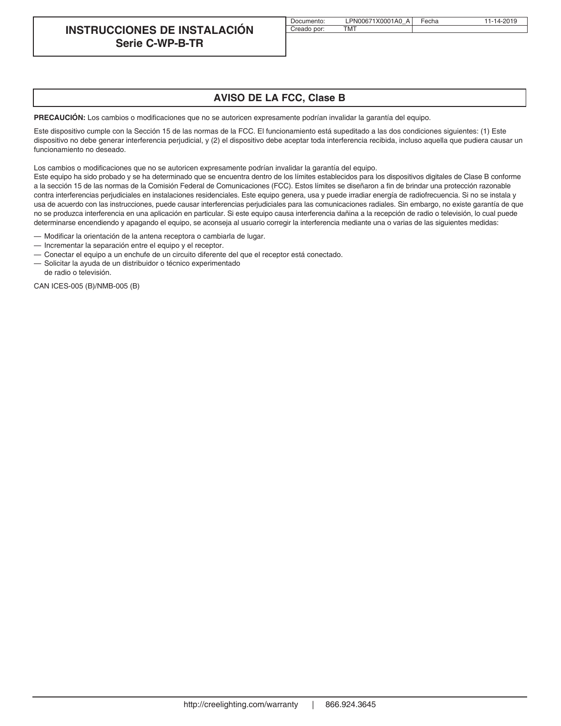## **INSTRUCCIONES DE INSTALACIÓN Serie C-WP-B-TR**

| Documento:  | LPN00671X0001A0 A Fecha | 11-14-2019 |
|-------------|-------------------------|------------|
| Creado por: | тмт                     |            |

## **AVISO DE LA FCC, Clase B**

PRECAUCIÓN: Los cambios o modificaciones que no se autoricen expresamente podrían invalidar la garantía del equipo.

Este dispositivo cumple con la Sección 15 de las normas de la FCC. El funcionamiento está supeditado a las dos condiciones siguientes: (1) Este dispositivo no debe generar interferencia perjudicial, y (2) el dispositivo debe aceptar toda interferencia recibida, incluso aquella que pudiera causar un funcionamiento no deseado.

Los cambios o modificaciones que no se autoricen expresamente podrían invalidar la garantía del equipo.

Este equipo ha sido probado y se ha determinado que se encuentra dentro de los límites establecidos para los dispositivos digitales de Clase B conforme a la sección 15 de las normas de la Comisión Federal de Comunicaciones (FCC). Estos límites se diseñaron a fin de brindar una protección razonable contra interferencias perjudiciales en instalaciones residenciales. Este equipo genera, usa y puede irradiar energía de radiofrecuencia. Si no se instala y usa de acuerdo con las instrucciones, puede causar interferencias perjudiciales para las comunicaciones radiales. Sin embargo, no existe garantía de que no se produzca interferencia en una aplicación en particular. Si este equipo causa interferencia dañina a la recepción de radio o televisión, lo cual puede determinarse encendiendo y apagando el equipo, se aconseja al usuario corregir la interferencia mediante una o varias de las siguientes medidas:

— Modificar la orientación de la antena receptora o cambiarla de lugar.

- Incrementar la separación entre el equipo y el receptor.
- Conectar el equipo a un enchufe de un circuito diferente del que el receptor está conectado.
- Solicitar la ayuda de un distribuidor o técnico experimentado

de radio o televisión.

CAN ICES-005 (B)/NMB-005 (B)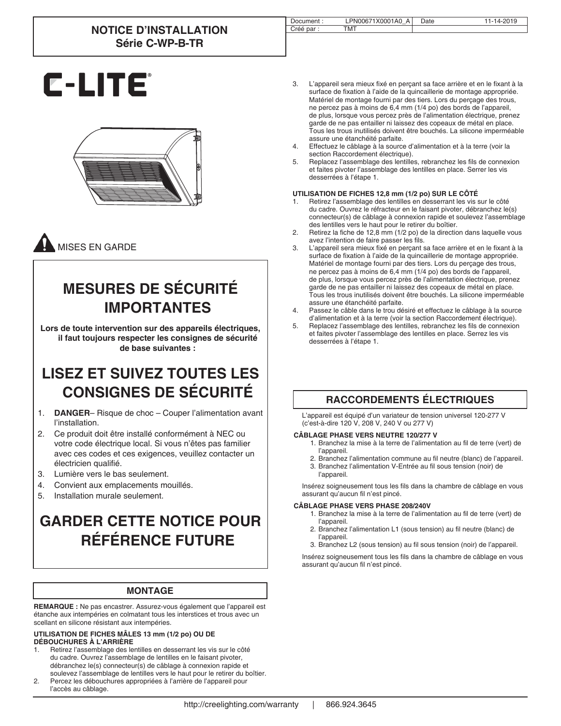# **NOTICE D'INSTALLATION Série C-WP-B-TR**

| Document : | PN00671X0001A0<br>A | Date | 14-2019<br>$\overline{\phantom{a}}$ |
|------------|---------------------|------|-------------------------------------|
| Créé par : | 'MT                 |      |                                     |

# **C-LITE**



# MISES EN GARDE

# **MESURES DE SÉCURITÉ IMPORTANTES**

**Lors de toute intervention sur des appareils électriques, il faut toujours respecter les consignes de sécurité de base suivantes :**

# **LISEZ ET SUIVEZ TOUTES LES CONSIGNES DE SÉCURITÉ**

- 1. **DANGER** Risque de choc Couper l'alimentation avant l'installation.
- 2. Ce produit doit être installé conformément à NEC ou votre code électrique local. Si vous n'êtes pas familier avec ces codes et ces exigences, veuillez contacter un électricien qualifié.
- 3. Lumière vers le bas seulement.
- 4. Convient aux emplacements mouillés.
- 5. Installation murale seulement.

# **GARDER CETTE NOTICE POUR RÉFÉRENCE FUTURE**

## **MONTAGE**

**REMARQUE :** Ne pas encastrer. Assurez-vous également que l'appareil est étanche aux intempéries en colmatant tous les interstices et trous avec un scellant en silicone résistant aux intempéries.

#### **UTILISATION DE FICHES MÂLES 13 mm (1/2 po) OU DE DÉBOUCHURES À L'ARRIÈRE**

- Retirez l'assemblage des lentilles en desserrant les vis sur le côté du cadre. Ouvrez l'assemblage de lentilles en le faisant pivoter, débranchez le(s) connecteur(s) de câblage à connexion rapide et soulevez l'assemblage de lentilles vers le haut pour le retirer du boîtier.
- 2. Percez les débouchures appropriées à l'arrière de l'appareil pour l'accès au câblage.
- 3. L'appareil sera mieux fixé en perçant sa face arrière et en le fixant à la surface de fixation à l'aide de la quincaillerie de montage appropriée. Matériel de montage fourni par des tiers. Lors du perçage des trous, ne percez pas à moins de 6,4 mm (1/4 po) des bords de l'appareil, de plus, lorsque vous percez près de l'alimentation électrique, prenez garde de ne pas entailler ni laissez des copeaux de métal en place. Tous les trous inutilisés doivent être bouchés. La silicone imperméable assure une étanchéité parfaite.
- 4. Effectuez le câblage à la source d'alimentation et à la terre (voir la section Raccordement électrique).
- 5. Replacez l'assemblage des lentilles, rebranchez les fils de connexion et faites pivoter l'assemblage des lentilles en place. Serrer les vis desserrées à l'étape 1.

#### **UTILISATION DE FICHES 12,8 mm (1/2 po) SUR LE CÔTÉ**

- 1. Retirez l'assemblage des lentilles en desserrant les vis sur le côté du cadre. Ouvrez le réfracteur en le faisant pivoter, débranchez le(s) connecteur(s) de câblage à connexion rapide et soulevez l'assemblage des lentilles vers le haut pour le retirer du boîtier.
- 2. Retirez la fiche de 12,8 mm (1/2 po) de la direction dans laquelle vous avez l'intention de faire passer les fils.
- 3. L'appareil sera mieux fixé en perçant sa face arrière et en le fixant à la surface de fixation à l'aide de la quincaillerie de montage appropriée. Matériel de montage fourni par des tiers. Lors du perçage des trous, ne percez pas à moins de 6,4 mm (1/4 po) des bords de l'appareil, de plus, lorsque vous percez près de l'alimentation électrique, prenez garde de ne pas entailler ni laissez des copeaux de métal en place. Tous les trous inutilisés doivent être bouchés. La silicone imperméable assure une étanchéité parfaite.
- 4. Passez le câble dans le trou désiré et effectuez le câblage à la source d'alimentation et à la terre (voir la section Raccordement électrique).
- 5. Replacez l'assemblage des lentilles, rebranchez les fils de connexion et faites pivoter l'assemblage des lentilles en place. Serrez les vis desserrées à l'étape 1.

## **RACCORDEMENTS ÉLECTRIQUES**

L'appareil est équipé d'un variateur de tension universel 120-277 V (c'est-à-dire 120 V, 208 V, 240 V ou 277 V)

#### **CÂBLAGE PHASE VERS NEUTRE 120/277 V**

- 1. Branchez la mise à la terre de l'alimentation au fil de terre (vert) de l'appareil.
- 2. Branchez l'alimentation commune au fil neutre (blanc) de l'appareil.<br>3. Branchez l'alimentation V-Entrée au fil sous tension (noir) de Branchez l'alimentation V-Entrée au fil sous tension (noir) de
- l'appareil.

Insérez soigneusement tous les fils dans la chambre de câblage en vous assurant qu'aucun fil n'est pincé.

#### **CÂBLAGE PHASE VERS PHASE 208/240V**

- 1. Branchez la mise à la terre de l'alimentation au fil de terre (vert) de l'appareil.
- 2. Branchez l'alimentation L1 (sous tension) au fil neutre (blanc) de l'appareil.
- 3. Branchez L2 (sous tension) au fil sous tension (noir) de l'appareil.

Insérez soigneusement tous les fils dans la chambre de câblage en vous assurant qu'aucun fil n'est pincé.